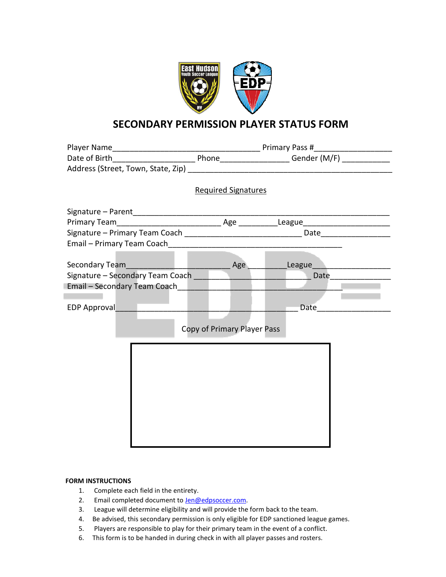

## **SECONDARY PERMISSION PLAYER STATUS FORM**

|                              |                                                                                                                                                                                                                                        | <b>Required Signatures</b>  |      |  |  |
|------------------------------|----------------------------------------------------------------------------------------------------------------------------------------------------------------------------------------------------------------------------------------|-----------------------------|------|--|--|
|                              |                                                                                                                                                                                                                                        |                             |      |  |  |
|                              |                                                                                                                                                                                                                                        |                             |      |  |  |
|                              |                                                                                                                                                                                                                                        |                             |      |  |  |
|                              |                                                                                                                                                                                                                                        |                             |      |  |  |
|                              |                                                                                                                                                                                                                                        |                             |      |  |  |
|                              |                                                                                                                                                                                                                                        |                             |      |  |  |
|                              | Secondary Team<br><u> Leaden and Contact and Contact and Contact and Contact and Contact and Contact and Contact and Contact and Contact and Contact and Contact and Contact and Contact and Contact and Contact and Contact and C</u> | Age                         |      |  |  |
|                              |                                                                                                                                                                                                                                        |                             | Date |  |  |
| Email - Secondary Team Coach |                                                                                                                                                                                                                                        |                             |      |  |  |
|                              |                                                                                                                                                                                                                                        |                             |      |  |  |
| <b>EDP Approval</b>          |                                                                                                                                                                                                                                        |                             | Date |  |  |
|                              |                                                                                                                                                                                                                                        |                             |      |  |  |
|                              |                                                                                                                                                                                                                                        | Copy of Primary Player Pass |      |  |  |
|                              |                                                                                                                                                                                                                                        |                             |      |  |  |
|                              |                                                                                                                                                                                                                                        |                             |      |  |  |
|                              |                                                                                                                                                                                                                                        |                             |      |  |  |
|                              |                                                                                                                                                                                                                                        |                             |      |  |  |
|                              |                                                                                                                                                                                                                                        |                             |      |  |  |
|                              |                                                                                                                                                                                                                                        |                             |      |  |  |
|                              |                                                                                                                                                                                                                                        |                             |      |  |  |
|                              |                                                                                                                                                                                                                                        |                             |      |  |  |
|                              |                                                                                                                                                                                                                                        |                             |      |  |  |
|                              |                                                                                                                                                                                                                                        |                             |      |  |  |
|                              |                                                                                                                                                                                                                                        |                             |      |  |  |

## **FORM INSTRUCTIONS**

- 1. Complete each field in the entirety.
- 2. Email completed document to **Jen@edpsoccer.com**.
- 3. League will determine eligibility and will provide the form back to the team.
- 4. Be advised, this secondary permission is only eligible for EDP sanctioned league games.
- 5. Players are responsible to play for their primary team in the event of a conflict.
- 6. This form is to be handed in during check in with all player passes and rosters.